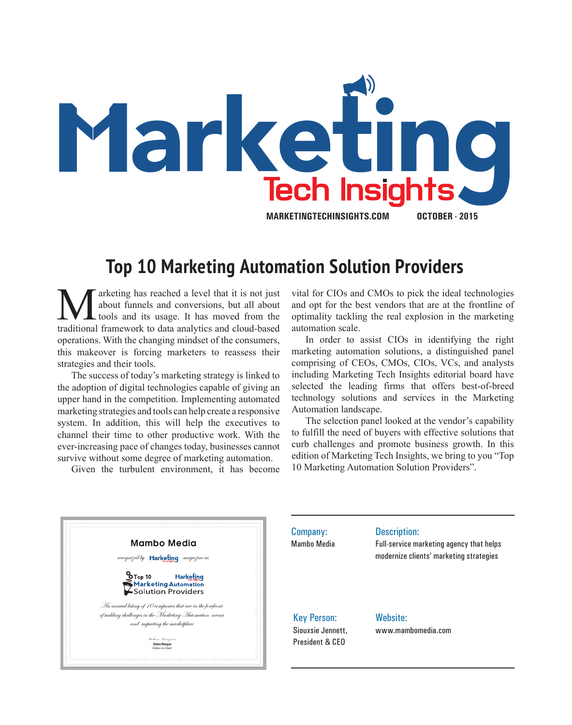

## **Top 10 Marketing Automation Solution Providers**

**M** arketing has reached a level that it is not just about funnels and conversions, but all about tools and its usage. It has moved from the traditional framework to data analytics and cloud-based about funnels and conversions, but all about tools and its usage. It has moved from the traditional framework to data analytics and cloud-based operations. With the changing mindset of the consumers, this makeover is forcing marketers to reassess their strategies and their tools.

The success of today's marketing strategy is linked to the adoption of digital technologies capable of giving an upper hand in the competition. Implementing automated marketing strategies and tools can help create a responsive system. In addition, this will help the executives to channel their time to other productive work. With the ever-increasing pace of changes today, businesses cannot survive without some degree of marketing automation.

Given the turbulent environment, it has become

vital for CIOs and CMOs to pick the ideal technologies and opt for the best vendors that are at the frontline of optimality tackling the real explosion in the marketing automation scale.

In order to assist CIOs in identifying the right marketing automation solutions, a distinguished panel comprising of CEOs, CMOs, CIOs, VCs, and analysts including Marketing Tech Insights editorial board have selected the leading firms that offers best-of-breed technology solutions and services in the Marketing Automation landscape.

The selection panel looked at the vendor's capability to fulfill the need of buyers with effective solutions that curb challenges and promote business growth. In this edition of Marketing Tech Insights, we bring to you "Top 10 Marketing Automation Solution Providers".



Company: Mambo Media Description: Full-service marketing agency that helps modernize clients' marketing strategies Key Person: Siouxsie Jennett, President & CEO Website: www.mambomedia.com